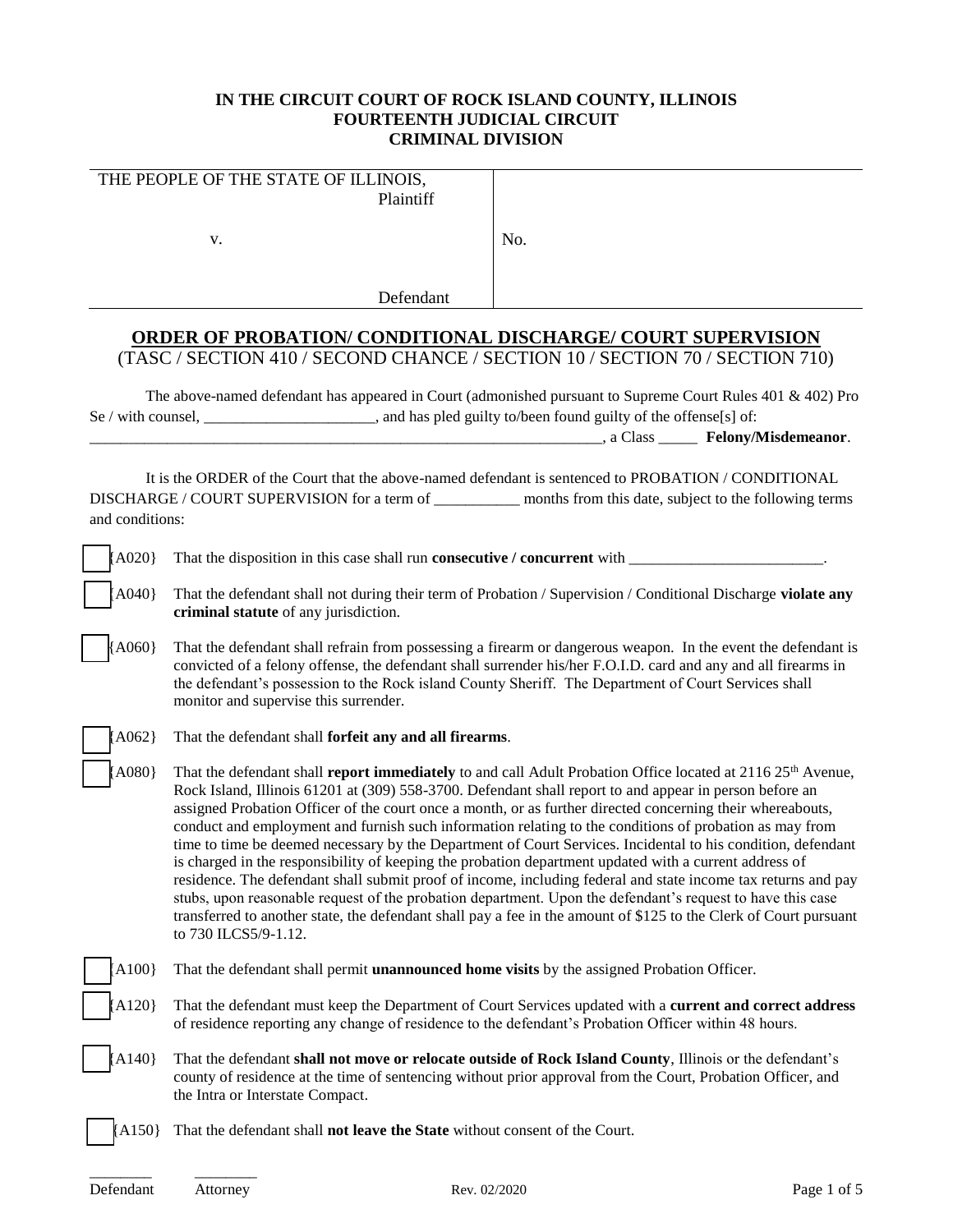# **IN THE CIRCUIT COURT OF ROCK ISLAND COUNTY, ILLINOIS FOURTEENTH JUDICIAL CIRCUIT CRIMINAL DIVISION**

|                                                                                                                                                                                                                                           | THE PEOPLE OF THE STATE OF ILLINOIS,<br>Plaintiff                                                                                                                                                                                                                                                                                                                                                                                                                                                                                                                                                                                                                                                                                                                                                                                                                                                                                                                                                                                                                 |     |  |  |  |  |
|-------------------------------------------------------------------------------------------------------------------------------------------------------------------------------------------------------------------------------------------|-------------------------------------------------------------------------------------------------------------------------------------------------------------------------------------------------------------------------------------------------------------------------------------------------------------------------------------------------------------------------------------------------------------------------------------------------------------------------------------------------------------------------------------------------------------------------------------------------------------------------------------------------------------------------------------------------------------------------------------------------------------------------------------------------------------------------------------------------------------------------------------------------------------------------------------------------------------------------------------------------------------------------------------------------------------------|-----|--|--|--|--|
|                                                                                                                                                                                                                                           | V.                                                                                                                                                                                                                                                                                                                                                                                                                                                                                                                                                                                                                                                                                                                                                                                                                                                                                                                                                                                                                                                                | No. |  |  |  |  |
|                                                                                                                                                                                                                                           | Defendant                                                                                                                                                                                                                                                                                                                                                                                                                                                                                                                                                                                                                                                                                                                                                                                                                                                                                                                                                                                                                                                         |     |  |  |  |  |
|                                                                                                                                                                                                                                           |                                                                                                                                                                                                                                                                                                                                                                                                                                                                                                                                                                                                                                                                                                                                                                                                                                                                                                                                                                                                                                                                   |     |  |  |  |  |
| <b>ORDER OF PROBATION/ CONDITIONAL DISCHARGE/ COURT SUPERVISION</b><br>(TASC / SECTION 410 / SECOND CHANCE / SECTION 10 / SECTION 70 / SECTION 710)                                                                                       |                                                                                                                                                                                                                                                                                                                                                                                                                                                                                                                                                                                                                                                                                                                                                                                                                                                                                                                                                                                                                                                                   |     |  |  |  |  |
| The above-named defendant has appeared in Court (admonished pursuant to Supreme Court Rules 401 & 402) Pro<br>Se / with counsel, ______________________, and has pled guilty to/been found guilty of the offense[s] of:                   |                                                                                                                                                                                                                                                                                                                                                                                                                                                                                                                                                                                                                                                                                                                                                                                                                                                                                                                                                                                                                                                                   |     |  |  |  |  |
|                                                                                                                                                                                                                                           |                                                                                                                                                                                                                                                                                                                                                                                                                                                                                                                                                                                                                                                                                                                                                                                                                                                                                                                                                                                                                                                                   |     |  |  |  |  |
| It is the ORDER of the Court that the above-named defendant is sentenced to PROBATION / CONDITIONAL<br>DISCHARGE / COURT SUPERVISION for a term of _____________ months from this date, subject to the following terms<br>and conditions: |                                                                                                                                                                                                                                                                                                                                                                                                                                                                                                                                                                                                                                                                                                                                                                                                                                                                                                                                                                                                                                                                   |     |  |  |  |  |
| ${AO20}$                                                                                                                                                                                                                                  |                                                                                                                                                                                                                                                                                                                                                                                                                                                                                                                                                                                                                                                                                                                                                                                                                                                                                                                                                                                                                                                                   |     |  |  |  |  |
| A040}                                                                                                                                                                                                                                     | That the defendant shall not during their term of Probation / Supervision / Conditional Discharge violate any<br>criminal statute of any jurisdiction.                                                                                                                                                                                                                                                                                                                                                                                                                                                                                                                                                                                                                                                                                                                                                                                                                                                                                                            |     |  |  |  |  |
| ${AO60}$                                                                                                                                                                                                                                  | That the defendant shall refrain from possessing a firearm or dangerous weapon. In the event the defendant is<br>convicted of a felony offense, the defendant shall surrender his/her F.O.I.D. card and any and all firearms in<br>the defendant's possession to the Rock island County Sheriff. The Department of Court Services shall<br>monitor and supervise this surrender.                                                                                                                                                                                                                                                                                                                                                                                                                                                                                                                                                                                                                                                                                  |     |  |  |  |  |
| $A062$ }                                                                                                                                                                                                                                  | That the defendant shall forfeit any and all firearms.                                                                                                                                                                                                                                                                                                                                                                                                                                                                                                                                                                                                                                                                                                                                                                                                                                                                                                                                                                                                            |     |  |  |  |  |
| A080}                                                                                                                                                                                                                                     | That the defendant shall report immediately to and call Adult Probation Office located at 2116 25 <sup>th</sup> Avenue,<br>Rock Island, Illinois 61201 at (309) 558-3700. Defendant shall report to and appear in person before an<br>assigned Probation Officer of the court once a month, or as further directed concerning their whereabouts,<br>conduct and employment and furnish such information relating to the conditions of probation as may from<br>time to time be deemed necessary by the Department of Court Services. Incidental to his condition, defendant<br>is charged in the responsibility of keeping the probation department updated with a current address of<br>residence. The defendant shall submit proof of income, including federal and state income tax returns and pay<br>stubs, upon reasonable request of the probation department. Upon the defendant's request to have this case<br>transferred to another state, the defendant shall pay a fee in the amount of \$125 to the Clerk of Court pursuant<br>to 730 ILCS5/9-1.12. |     |  |  |  |  |
| A100                                                                                                                                                                                                                                      | That the defendant shall permit <b>unannounced home visits</b> by the assigned Probation Officer.                                                                                                                                                                                                                                                                                                                                                                                                                                                                                                                                                                                                                                                                                                                                                                                                                                                                                                                                                                 |     |  |  |  |  |
| A120}                                                                                                                                                                                                                                     | That the defendant must keep the Department of Court Services updated with a current and correct address<br>of residence reporting any change of residence to the defendant's Probation Officer within 48 hours.                                                                                                                                                                                                                                                                                                                                                                                                                                                                                                                                                                                                                                                                                                                                                                                                                                                  |     |  |  |  |  |
| A140                                                                                                                                                                                                                                      | That the defendant shall not move or relocate outside of Rock Island County, Illinois or the defendant's<br>county of residence at the time of sentencing without prior approval from the Court, Probation Officer, and<br>the Intra or Interstate Compact.                                                                                                                                                                                                                                                                                                                                                                                                                                                                                                                                                                                                                                                                                                                                                                                                       |     |  |  |  |  |

[A150] That the defendant shall **not leave the State** without consent of the Court.

\_\_\_\_\_\_\_\_ \_\_\_\_\_\_\_\_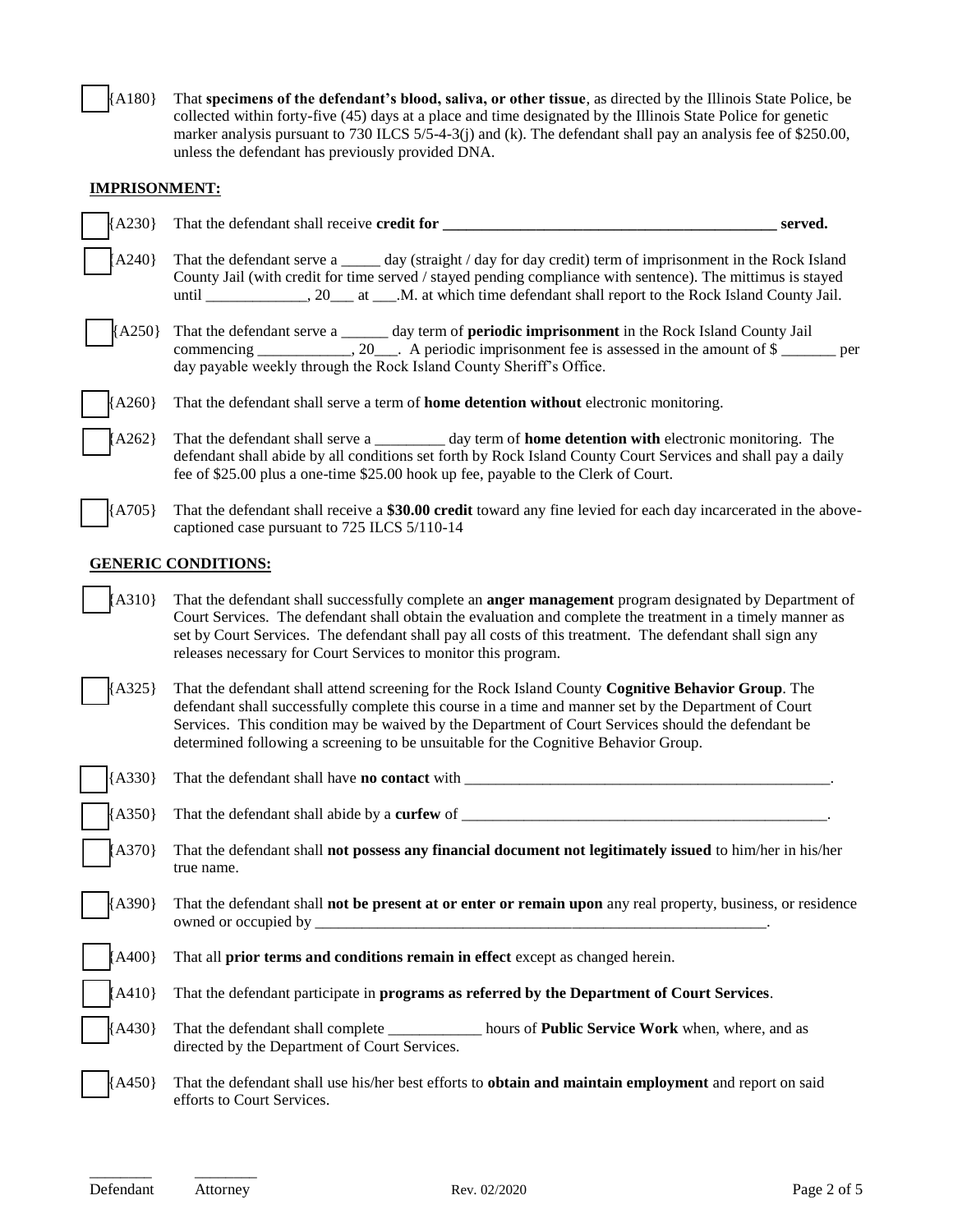[ ] {A180} That **specimens of the defendant's blood, saliva, or other tissue**, as directed by the Illinois State Police, be collected within forty-five (45) days at a place and time designated by the Illinois State Police for genetic marker analysis pursuant to 730 ILCS 5/5-4-3(j) and (k). The defendant shall pay an analysis fee of \$250.00, unless the defendant has previously provided DNA.

## **IMPRISONMENT:**

| ${A230}$ | That the defendant shall receive credit for _                                                                                                                                                                                                                                                                                                                                                             | served. |  |  |  |
|----------|-----------------------------------------------------------------------------------------------------------------------------------------------------------------------------------------------------------------------------------------------------------------------------------------------------------------------------------------------------------------------------------------------------------|---------|--|--|--|
| A240     | That the defendant serve a _____ day (straight / day for day credit) term of imprisonment in the Rock Island<br>County Jail (with credit for time served / stayed pending compliance with sentence). The mittimus is stayed                                                                                                                                                                               |         |  |  |  |
| $A250$ } | That the defendant serve a _____ day term of periodic imprisonment in the Rock Island County Jail<br>commencing ____________, 20___. A periodic imprisonment fee is assessed in the amount of \$<br>per<br>day payable weekly through the Rock Island County Sheriff's Office.                                                                                                                            |         |  |  |  |
| [A260]   | That the defendant shall serve a term of <b>home detention without</b> electronic monitoring.                                                                                                                                                                                                                                                                                                             |         |  |  |  |
| $[A262]$ | That the defendant shall serve a __________ day term of <b>home detention with</b> electronic monitoring. The<br>defendant shall abide by all conditions set forth by Rock Island County Court Services and shall pay a daily<br>fee of \$25.00 plus a one-time \$25.00 hook up fee, payable to the Clerk of Court.                                                                                       |         |  |  |  |
| ${A705}$ | That the defendant shall receive a \$30.00 credit toward any fine levied for each day incarcerated in the above-<br>captioned case pursuant to 725 ILCS 5/110-14                                                                                                                                                                                                                                          |         |  |  |  |
|          | <b>GENERIC CONDITIONS:</b>                                                                                                                                                                                                                                                                                                                                                                                |         |  |  |  |
| [A310]   | That the defendant shall successfully complete an <b>anger management</b> program designated by Department of<br>Court Services. The defendant shall obtain the evaluation and complete the treatment in a timely manner as<br>set by Court Services. The defendant shall pay all costs of this treatment. The defendant shall sign any<br>releases necessary for Court Services to monitor this program. |         |  |  |  |
| A325}    | That the defendant shall attend screening for the Rock Island County Cognitive Behavior Group. The<br>defendant shall successfully complete this course in a time and manner set by the Department of Court<br>Services. This condition may be waived by the Department of Court Services should the defendant be<br>determined following a screening to be unsuitable for the Cognitive Behavior Group.  |         |  |  |  |
| ${A330}$ |                                                                                                                                                                                                                                                                                                                                                                                                           |         |  |  |  |
| ${A350}$ | That the defendant shall abide by a curfew of                                                                                                                                                                                                                                                                                                                                                             |         |  |  |  |
| [ A370 ] | That the defendant shall <b>not possess any financial document not legitimately issued</b> to him/her in his/her<br>true name.                                                                                                                                                                                                                                                                            |         |  |  |  |
| (A390)   | That the defendant shall not be present at or enter or remain upon any real property, business, or residence                                                                                                                                                                                                                                                                                              |         |  |  |  |
| ${A400}$ | That all prior terms and conditions remain in effect except as changed herein.                                                                                                                                                                                                                                                                                                                            |         |  |  |  |
| [A410]   | That the defendant participate in programs as referred by the Department of Court Services.                                                                                                                                                                                                                                                                                                               |         |  |  |  |
| ${A430}$ | That the defendant shall complete ______________ hours of Public Service Work when, where, and as<br>directed by the Department of Court Services.                                                                                                                                                                                                                                                        |         |  |  |  |
| ${A450}$ | That the defendant shall use his/her best efforts to obtain and maintain employment and report on said<br>efforts to Court Services.                                                                                                                                                                                                                                                                      |         |  |  |  |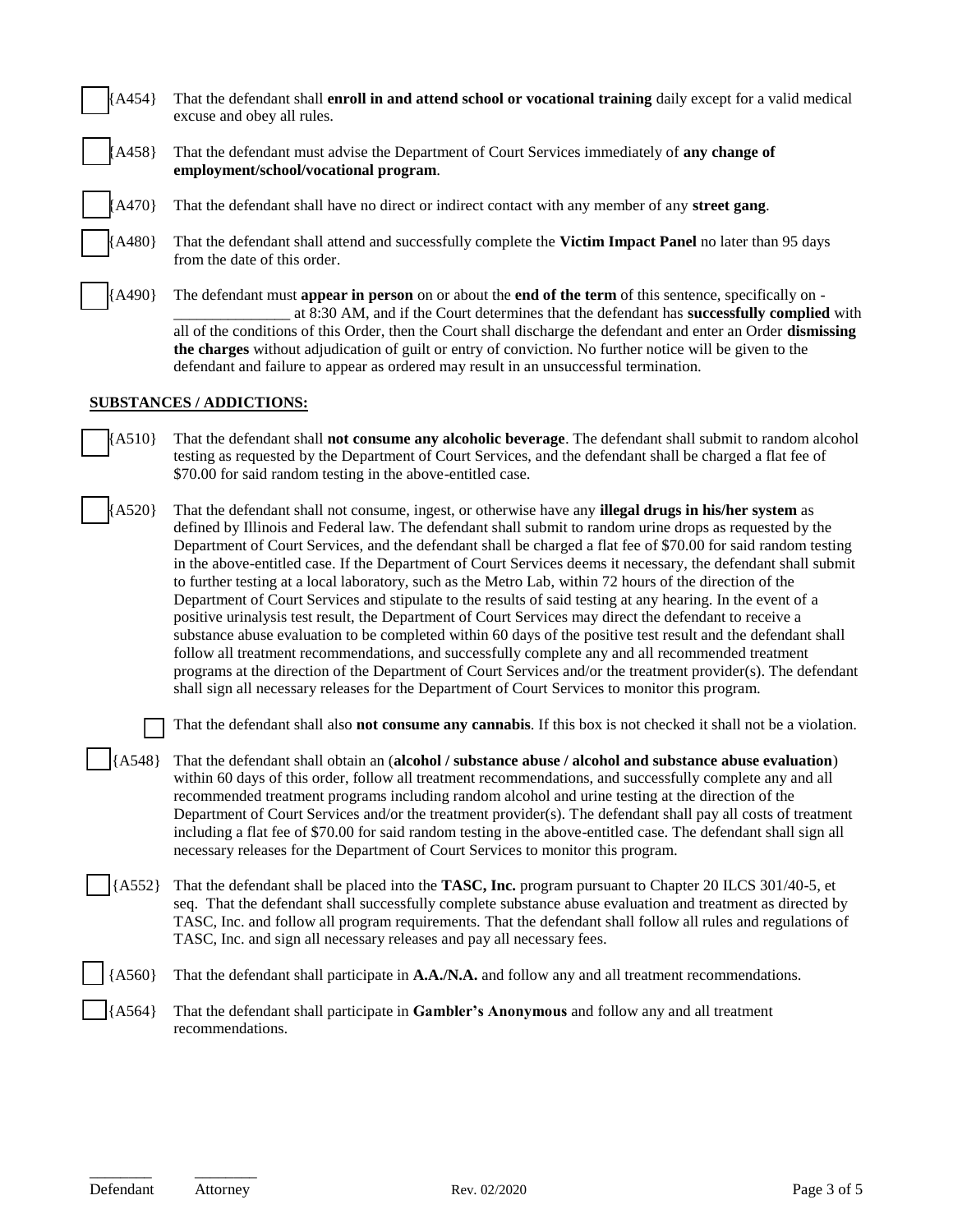| A454}                           | That the defendant shall enroll in and attend school or vocational training daily except for a valid medical<br>excuse and obey all rules.                                                                                                                                                                                                                                                                                                                                                                                                                                                                                                                                                                                                                                                                                                                                                                                                                                                                                                                                                                                                                                                                                                     |  |  |  |  |
|---------------------------------|------------------------------------------------------------------------------------------------------------------------------------------------------------------------------------------------------------------------------------------------------------------------------------------------------------------------------------------------------------------------------------------------------------------------------------------------------------------------------------------------------------------------------------------------------------------------------------------------------------------------------------------------------------------------------------------------------------------------------------------------------------------------------------------------------------------------------------------------------------------------------------------------------------------------------------------------------------------------------------------------------------------------------------------------------------------------------------------------------------------------------------------------------------------------------------------------------------------------------------------------|--|--|--|--|
| A458}                           | That the defendant must advise the Department of Court Services immediately of any change of<br>employment/school/vocational program.                                                                                                                                                                                                                                                                                                                                                                                                                                                                                                                                                                                                                                                                                                                                                                                                                                                                                                                                                                                                                                                                                                          |  |  |  |  |
| A470}                           | That the defendant shall have no direct or indirect contact with any member of any street gang.                                                                                                                                                                                                                                                                                                                                                                                                                                                                                                                                                                                                                                                                                                                                                                                                                                                                                                                                                                                                                                                                                                                                                |  |  |  |  |
| A480}                           | That the defendant shall attend and successfully complete the Victim Impact Panel no later than 95 days<br>from the date of this order.                                                                                                                                                                                                                                                                                                                                                                                                                                                                                                                                                                                                                                                                                                                                                                                                                                                                                                                                                                                                                                                                                                        |  |  |  |  |
| A490}                           | The defendant must <b>appear in person</b> on or about the <b>end of the term</b> of this sentence, specifically on -<br>at 8:30 AM, and if the Court determines that the defendant has successfully complied with<br>all of the conditions of this Order, then the Court shall discharge the defendant and enter an Order dismissing<br>the charges without adjudication of guilt or entry of conviction. No further notice will be given to the<br>defendant and failure to appear as ordered may result in an unsuccessful termination.                                                                                                                                                                                                                                                                                                                                                                                                                                                                                                                                                                                                                                                                                                     |  |  |  |  |
| <b>SUBSTANCES / ADDICTIONS:</b> |                                                                                                                                                                                                                                                                                                                                                                                                                                                                                                                                                                                                                                                                                                                                                                                                                                                                                                                                                                                                                                                                                                                                                                                                                                                |  |  |  |  |
| A510                            | That the defendant shall <b>not consume any alcoholic beverage</b> . The defendant shall submit to random alcohol<br>testing as requested by the Department of Court Services, and the defendant shall be charged a flat fee of<br>\$70.00 for said random testing in the above-entitled case.                                                                                                                                                                                                                                                                                                                                                                                                                                                                                                                                                                                                                                                                                                                                                                                                                                                                                                                                                 |  |  |  |  |
| A520}                           | That the defendant shall not consume, ingest, or otherwise have any <b>illegal drugs in his/her system</b> as<br>defined by Illinois and Federal law. The defendant shall submit to random urine drops as requested by the<br>Department of Court Services, and the defendant shall be charged a flat fee of \$70.00 for said random testing<br>in the above-entitled case. If the Department of Court Services deems it necessary, the defendant shall submit<br>to further testing at a local laboratory, such as the Metro Lab, within 72 hours of the direction of the<br>Department of Court Services and stipulate to the results of said testing at any hearing. In the event of a<br>positive urinalysis test result, the Department of Court Services may direct the defendant to receive a<br>substance abuse evaluation to be completed within 60 days of the positive test result and the defendant shall<br>follow all treatment recommendations, and successfully complete any and all recommended treatment<br>programs at the direction of the Department of Court Services and/or the treatment provider(s). The defendant<br>shall sign all necessary releases for the Department of Court Services to monitor this program. |  |  |  |  |
|                                 | That the defendant shall also not consume any cannabis. If this box is not checked it shall not be a violation.                                                                                                                                                                                                                                                                                                                                                                                                                                                                                                                                                                                                                                                                                                                                                                                                                                                                                                                                                                                                                                                                                                                                |  |  |  |  |
| ${A548}$                        | That the defendant shall obtain an (alcohol / substance abuse / alcohol and substance abuse evaluation)<br>within 60 days of this order, follow all treatment recommendations, and successfully complete any and all<br>recommended treatment programs including random alcohol and urine testing at the direction of the<br>Department of Court Services and/or the treatment provider(s). The defendant shall pay all costs of treatment<br>including a flat fee of \$70.00 for said random testing in the above-entitled case. The defendant shall sign all<br>necessary releases for the Department of Court Services to monitor this program.                                                                                                                                                                                                                                                                                                                                                                                                                                                                                                                                                                                             |  |  |  |  |
| ${A552}$                        | That the defendant shall be placed into the TASC, Inc. program pursuant to Chapter 20 ILCS 301/40-5, et<br>seq. That the defendant shall successfully complete substance abuse evaluation and treatment as directed by<br>TASC, Inc. and follow all program requirements. That the defendant shall follow all rules and regulations of<br>TASC, Inc. and sign all necessary releases and pay all necessary fees.                                                                                                                                                                                                                                                                                                                                                                                                                                                                                                                                                                                                                                                                                                                                                                                                                               |  |  |  |  |
| A560}                           | That the defendant shall participate in A.A./N.A. and follow any and all treatment recommendations.                                                                                                                                                                                                                                                                                                                                                                                                                                                                                                                                                                                                                                                                                                                                                                                                                                                                                                                                                                                                                                                                                                                                            |  |  |  |  |
| ${A564}$                        | That the defendant shall participate in Gambler's Anonymous and follow any and all treatment<br>recommendations.                                                                                                                                                                                                                                                                                                                                                                                                                                                                                                                                                                                                                                                                                                                                                                                                                                                                                                                                                                                                                                                                                                                               |  |  |  |  |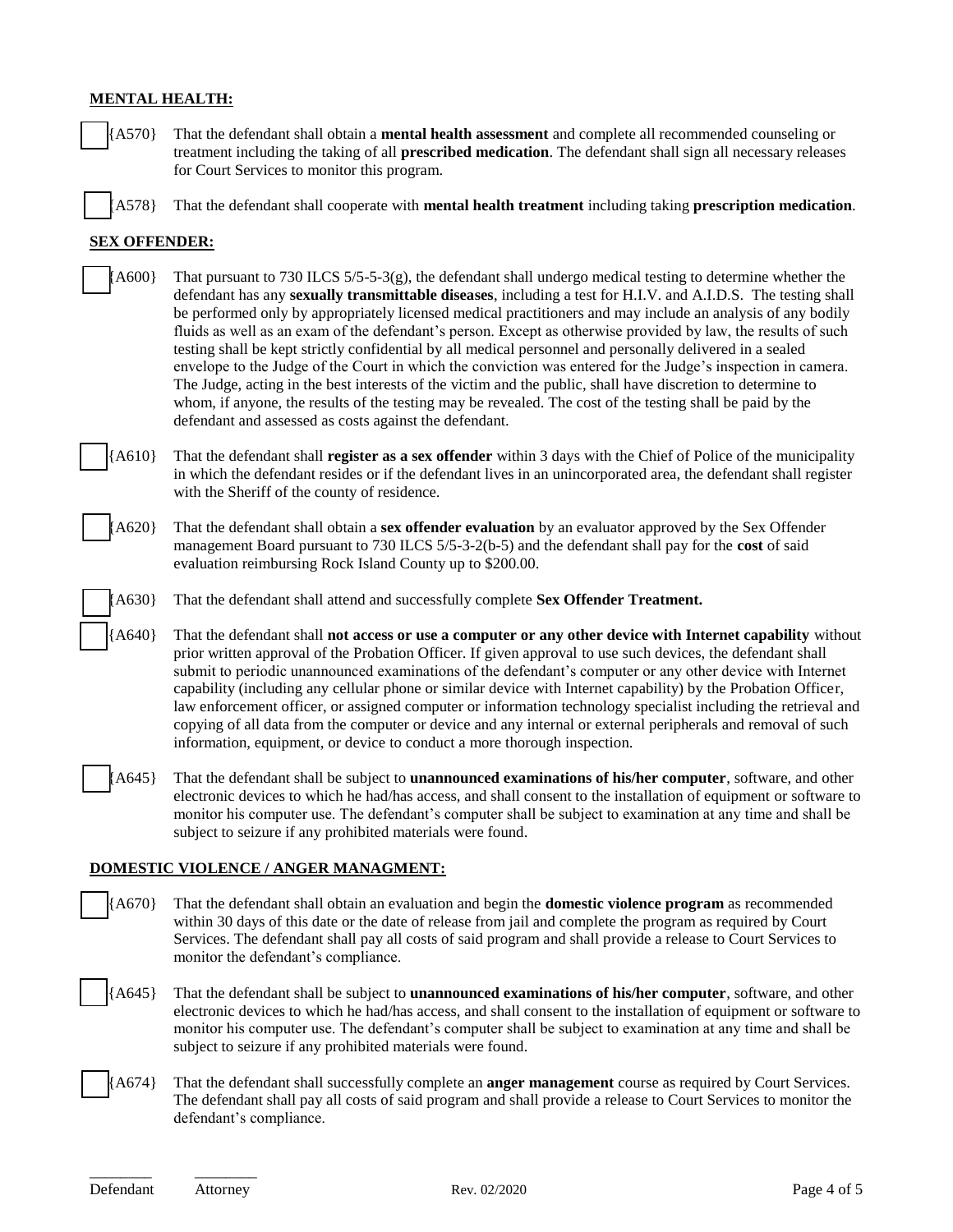## **MENTAL HEALTH:**

- [ ] {A570} That the defendant shall obtain a **mental health assessment** and complete all recommended counseling or treatment including the taking of all **prescribed medication**. The defendant shall sign all necessary releases for Court Services to monitor this program.
- [ ] {A578} That the defendant shall cooperate with **mental health treatment** including taking **prescription medication**.

## **SEX OFFENDER:**

- $A600$  That pursuant to 730 ILCS  $5/5-5-3(g)$ , the defendant shall undergo medical testing to determine whether the defendant has any **sexually transmittable diseases**, including a test for H.I.V. and A.I.D.S. The testing shall be performed only by appropriately licensed medical practitioners and may include an analysis of any bodily fluids as well as an exam of the defendant's person. Except as otherwise provided by law, the results of such testing shall be kept strictly confidential by all medical personnel and personally delivered in a sealed envelope to the Judge of the Court in which the conviction was entered for the Judge's inspection in camera. The Judge, acting in the best interests of the victim and the public, shall have discretion to determine to whom, if anyone, the results of the testing may be revealed. The cost of the testing shall be paid by the defendant and assessed as costs against the defendant.
- [ ] {A610} That the defendant shall **register as a sex offender** within 3 days with the Chief of Police of the municipality in which the defendant resides or if the defendant lives in an unincorporated area, the defendant shall register with the Sheriff of the county of residence.
	- [ ] {A620} That the defendant shall obtain a **sex offender evaluation** by an evaluator approved by the Sex Offender management Board pursuant to 730 ILCS 5/5-3-2(b-5) and the defendant shall pay for the **cost** of said evaluation reimbursing Rock Island County up to \$200.00.
	- [ ] {A630} That the defendant shall attend and successfully complete **Sex Offender Treatment.**
	- [ ] {A640} That the defendant shall **not access or use a computer or any other device with Internet capability** without prior written approval of the Probation Officer. If given approval to use such devices, the defendant shall submit to periodic unannounced examinations of the defendant's computer or any other device with Internet capability (including any cellular phone or similar device with Internet capability) by the Probation Officer, law enforcement officer, or assigned computer or information technology specialist including the retrieval and copying of all data from the computer or device and any internal or external peripherals and removal of such information, equipment, or device to conduct a more thorough inspection.
- [ ] {A645} That the defendant shall be subject to **unannounced examinations of his/her computer**, software, and other electronic devices to which he had/has access, and shall consent to the installation of equipment or software to monitor his computer use. The defendant's computer shall be subject to examination at any time and shall be subject to seizure if any prohibited materials were found.

#### **DOMESTIC VIOLENCE / ANGER MANAGMENT:**

- [ ] {A670} That the defendant shall obtain an evaluation and begin the **domestic violence program** as recommended within 30 days of this date or the date of release from jail and complete the program as required by Court Services. The defendant shall pay all costs of said program and shall provide a release to Court Services to monitor the defendant's compliance.
- [ ] {A645} That the defendant shall be subject to **unannounced examinations of his/her computer**, software, and other electronic devices to which he had/has access, and shall consent to the installation of equipment or software to monitor his computer use. The defendant's computer shall be subject to examination at any time and shall be subject to seizure if any prohibited materials were found.
- [A674] That the defendant shall successfully complete an **anger management** course as required by Court Services. The defendant shall pay all costs of said program and shall provide a release to Court Services to monitor the defendant's compliance.